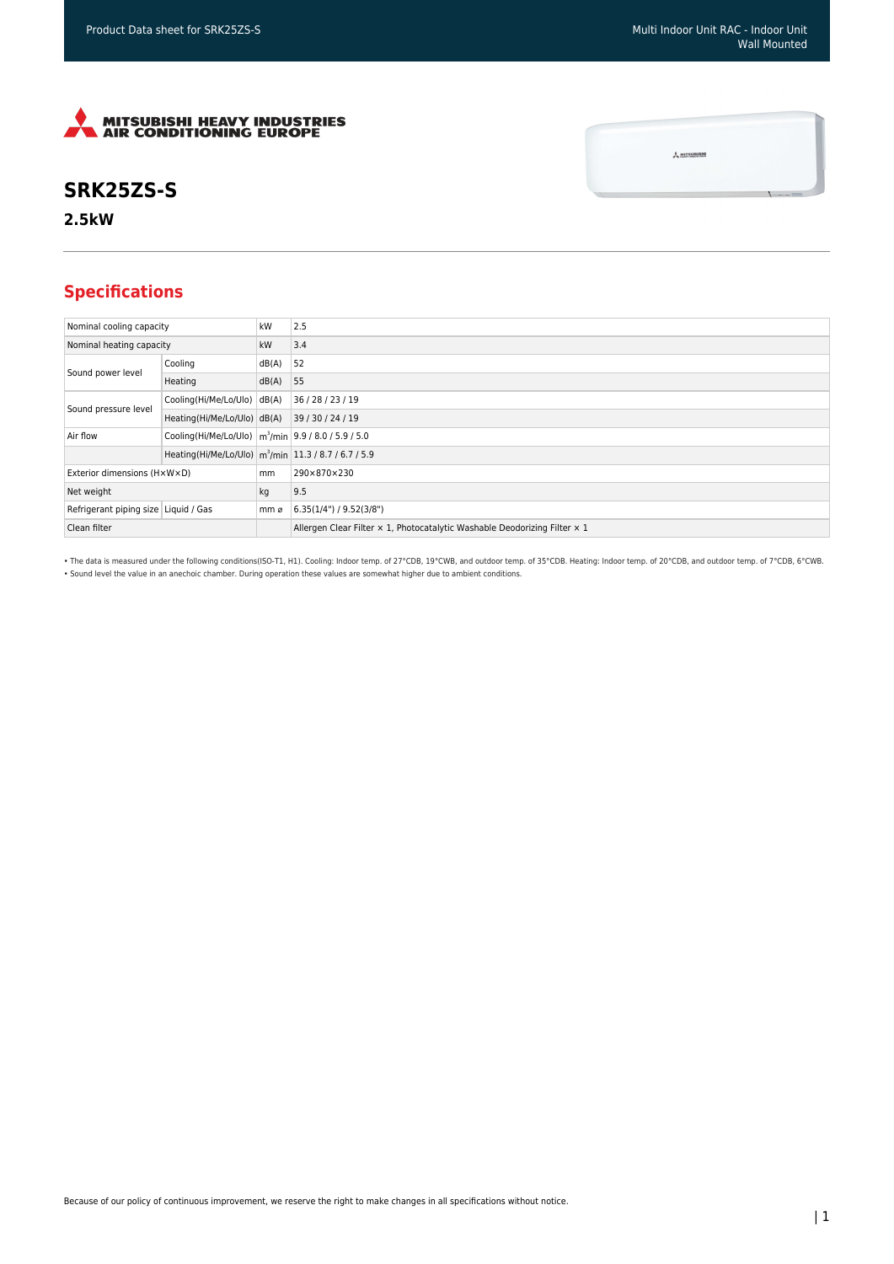$\frac{1}{2}$  MITSUBISH



## **SRK25ZS-S**

**2.5kW**

## **Specifications**

| Nominal cooling capacity             |                                                                     | kW    | 2.5                                                                       |
|--------------------------------------|---------------------------------------------------------------------|-------|---------------------------------------------------------------------------|
| Nominal heating capacity             |                                                                     | kW    | 3.4                                                                       |
| Sound power level                    | Cooling                                                             | dB(A) | 52                                                                        |
|                                      | Heating                                                             | dB(A) | 55                                                                        |
| Sound pressure level                 | Cooling(Hi/Me/Lo/Ulo) dB(A)                                         |       | 36 / 28 / 23 / 19                                                         |
|                                      | Heating(Hi/Me/Lo/Ulo) dB(A)                                         |       | 39/30/24/19                                                               |
| Air flow                             | Cooling(Hi/Me/Lo/Ulo)   m <sup>3</sup> /min   9.9 / 8.0 / 5.9 / 5.0 |       |                                                                           |
|                                      | Heating(Hi/Me/Lo/Ulo) m <sup>3</sup> /min 11.3 / 8.7 / 6.7 / 5.9    |       |                                                                           |
| Exterior dimensions (HxWxD)          |                                                                     | mm    | 290×870×230                                                               |
| Net weight                           |                                                                     | kg    | 9.5                                                                       |
| Refrigerant piping size Liquid / Gas |                                                                     | mm ø  | 6.35(1/4")/9.52(3/8")                                                     |
| Clean filter                         |                                                                     |       | Allergen Clear Filter x 1, Photocatalytic Washable Deodorizing Filter x 1 |

• The data is measured under the following conditions(ISO-T1, H1). Cooling: Indoor temp. of 27°CDB, 19°CWB, and outdoor temp. of 35°CDB. Heating: Indoor temp. of 20°CDB, and outdoor temp. of 7°CDB, 6°CWB. • Sound level the value in an anechoic chamber. During operation these values are somewhat higher due to ambient conditions.